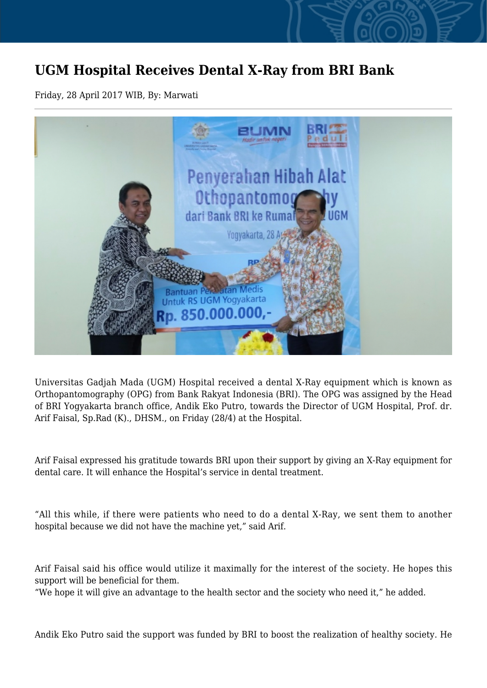## **UGM Hospital Receives Dental X-Ray from BRI Bank**

Friday, 28 April 2017 WIB, By: Marwati



Universitas Gadjah Mada (UGM) Hospital received a dental X-Ray equipment which is known as Orthopantomography (OPG) from Bank Rakyat Indonesia (BRI). The OPG was assigned by the Head of BRI Yogyakarta branch office, Andik Eko Putro, towards the Director of UGM Hospital, Prof. dr. Arif Faisal, Sp.Rad (K)., DHSM., on Friday (28/4) at the Hospital.

Arif Faisal expressed his gratitude towards BRI upon their support by giving an X-Ray equipment for dental care. It will enhance the Hospital's service in dental treatment.

"All this while, if there were patients who need to do a dental X-Ray, we sent them to another hospital because we did not have the machine yet," said Arif.

Arif Faisal said his office would utilize it maximally for the interest of the society. He hopes this support will be beneficial for them.

"We hope it will give an advantage to the health sector and the society who need it," he added.

Andik Eko Putro said the support was funded by BRI to boost the realization of healthy society. He